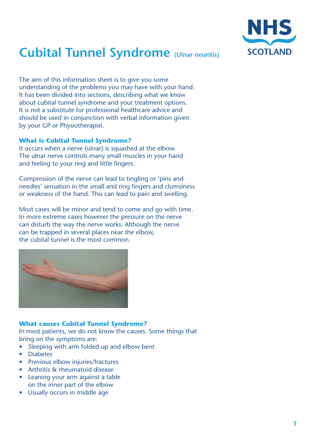

# **Cubital Tunnel Syndrome (Ulnar neuritis)**

The aim of this information sheet is to give you some understanding of the problems you may have with your hand. It has been divided into sections, describing what we know about cubital tunnel syndrome and your treatment options. It is not a substitute for professional healthcare advice and should be used in conjunction with verbal information given by your GP or Physiotherapist.

## **What is Cubital Tunnel Syndrome?**

It occurs when a nerve (ulnar) is squashed at the elbow. The ulnar nerve controls many small muscles in your hand and feeling to your ring and little fingers.

Compression of the nerve can lead to tingling or 'pins and needles' sensation in the small and ring fingers and clumsiness or weakness of the hand. This can lead to pain and swelling.

Most cases will be minor and tend to come and go with time. In more extreme cases however the pressure on the nerve can disturb the way the nerve works. Although the nerve can be trapped in several places near the elbow, the cubital tunnel is the most common.



## **What causes Cubital Tunnel Syndrome?**

In most patients, we do not know the causes. Some things that bring on the symptoms are:

- Sleeping with arm folded up and elbow bent
- • Diabetes
- Previous elbow injuries/fractures
- Arthritis & rheumatoid disease
- **Leaning your arm against a table** on the inner part of the elbow
- Usually occurs in middle age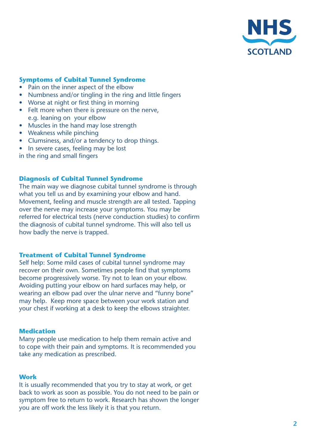

## **Symptoms of Cubital Tunnel Syndrome**

- Pain on the inner aspect of the elbow
- Numbness and/or tingling in the ring and little fingers
- Worse at night or first thing in morning
- Felt more when there is pressure on the nerve, e.g. leaning on your elbow
- Muscles in the hand may lose strength
- Weakness while pinching
- Clumsiness, and/or a tendency to drop things.
- In severe cases, feeling may be lost

in the ring and small fingers

## **Diagnosis of Cubital Tunnel Syndrome**

The main way we diagnose cubital tunnel syndrome is through what you tell us and by examining your elbow and hand. Movement, feeling and muscle strength are all tested. Tapping over the nerve may increase your symptoms. You may be referred for electrical tests (nerve conduction studies) to confirm the diagnosis of cubital tunnel syndrome. This will also tell us how badly the nerve is trapped.

### **Treatment of Cubital Tunnel Syndrome**

Self help: Some mild cases of cubital tunnel syndrome may recover on their own. Sometimes people find that symptoms become progressively worse. Try not to lean on your elbow. Avoiding putting your elbow on hard surfaces may help, or wearing an elbow pad over the ulnar nerve and "funny bone" may help. Keep more space between your work station and your chest if working at a desk to keep the elbows straighter.

#### **Medication**

Many people use medication to help them remain active and to cope with their pain and symptoms. It is recommended you take any medication as prescribed.

#### **Work**

It is usually recommended that you try to stay at work, or get back to work as soon as possible. You do not need to be pain or symptom free to return to work. Research has shown the longer you are off work the less likely it is that you return.